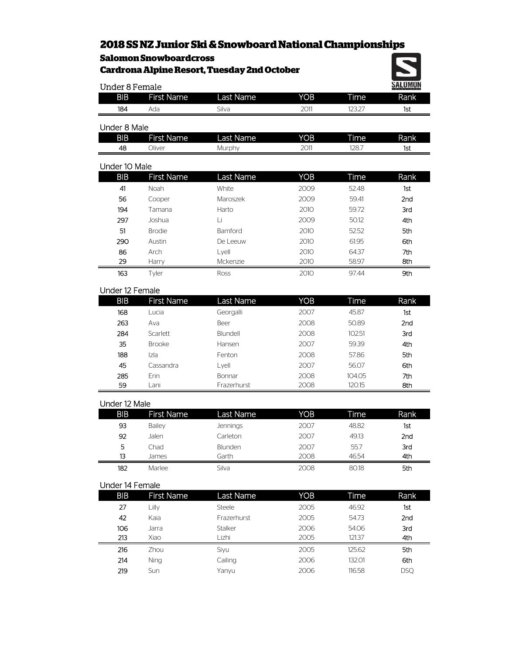# **2018 SS NZ Junior Ski & Snowboard National Championships**

## **Salomon Snowboardcross**

| <b>Cardrona Alpine Resort, Tuesday 2nd October</b> |                   |                  |            |        |            |  |  |
|----------------------------------------------------|-------------------|------------------|------------|--------|------------|--|--|
| <u>SALOMON</u><br><b>Under 8 Female</b>            |                   |                  |            |        |            |  |  |
| <b>BIB</b>                                         | <b>First Name</b> | <b>Last Name</b> | YOB        | Time   | Rank       |  |  |
| 184                                                | Ada               | Silva            | 2011       | 123.27 | 1st        |  |  |
| Under 8 Male                                       |                   |                  |            |        |            |  |  |
| <b>BIB</b>                                         | <b>First Name</b> | Last Name        | <b>YOB</b> | Time   | Rank       |  |  |
| 48                                                 | Oliver            | Murphy           | 2011       | 128.7  | 1st        |  |  |
| Under 10 Male                                      |                   |                  |            |        |            |  |  |
| <b>BIB</b>                                         | <b>First Name</b> | Last Name        | <b>YOB</b> | Time   | Rank       |  |  |
| 41                                                 | Noah              | White            | 2009       | 52.48  | 1st        |  |  |
| 56                                                 | Cooper            | Maroszek         | 2009       | 59.41  | 2nd        |  |  |
| 194                                                | Tamana            | Harto            | 2010       | 59.72  | 3rd        |  |  |
| 297                                                | Joshua            | Τi               | 2009       | 50.12  | 4th        |  |  |
| 51                                                 | <b>Brodie</b>     | Bamford          | 2010       | 52.52  | 5th        |  |  |
| 290                                                | Austin            | De Leeuw         | 2010       | 61.95  | 6th        |  |  |
| 86                                                 | Arch              | Lyell            | 2010       | 64.37  | 7th        |  |  |
| 29                                                 | Harry             | Mckenzie         | 2010       | 58.97  | 8th        |  |  |
| 163                                                | Tyler             | Ross             | 2010       | 97.44  | 9th        |  |  |
| Under 12 Female                                    |                   |                  |            |        |            |  |  |
| <b>BIB</b>                                         | <b>First Name</b> | Last Name        | <b>YOB</b> | Time   | Rank       |  |  |
| 168                                                | Lucia             | Georgalli        | 2007       | 45.87  | 1st        |  |  |
| 263                                                | Ava               | Beer             | 2008       | 50.89  | 2nd        |  |  |
| 284                                                | Scarlett          | Blundell         | 2008       | 102.51 | 3rd        |  |  |
| 35                                                 | <b>Brooke</b>     | Hansen           | 2007       | 59.39  | 4th        |  |  |
| 188                                                | Izla              | Fenton           | 2008       | 57.86  | 5th        |  |  |
| 45                                                 | Cassandra         | Lyell            | 2007       | 56.07  | 6th        |  |  |
| 285                                                | Erin              | Bonnar           | 2008       | 104.05 | 7th        |  |  |
| 59                                                 | Lani              | Frazerhurst      | 2008       | 120.15 | 8th        |  |  |
| Under 12 Male                                      |                   |                  |            |        |            |  |  |
| <b>BIB</b>                                         | <b>First Name</b> | Last Name        | <b>YOB</b> | Time   | Rank       |  |  |
| 93                                                 | Bailey            | Jennings         | 2007       | 48.82  | 1st        |  |  |
| 92                                                 | Jalen             | Carleton         | 2007       | 49.13  | 2nd        |  |  |
| 5                                                  | Chad              | Blunden          | 2007       | 55.7   | <b>3rd</b> |  |  |

#### Under 14 Female

| <b>BIB</b> | <b>First Name</b> | Last Name     | YOB  | Time   | Rank       |
|------------|-------------------|---------------|------|--------|------------|
| 27         | Lilly             | <b>Steele</b> | 2005 | 46.92  | 1st        |
| 42         | Kaia              | Frazerhurst   | 2005 | 54.73  | 2nd        |
| 106        | Jarra             | Stalker       | 2006 | 54.06  | 3rd        |
| 213        | Xiao              | l izhi        | 2005 | 121.37 | 4th        |
| 216        | Zhou              | Siyu          | 2005 | 125.62 | 5th        |
| 214        | Ning              | Cailing       | 2006 | 132.01 | 6th        |
| 219        | Sun               | Yanyu         | 2006 | 116.58 | <b>DSO</b> |

 James Garth 2008 46.54 4th Marlee Silva 2008 80.18 **5th**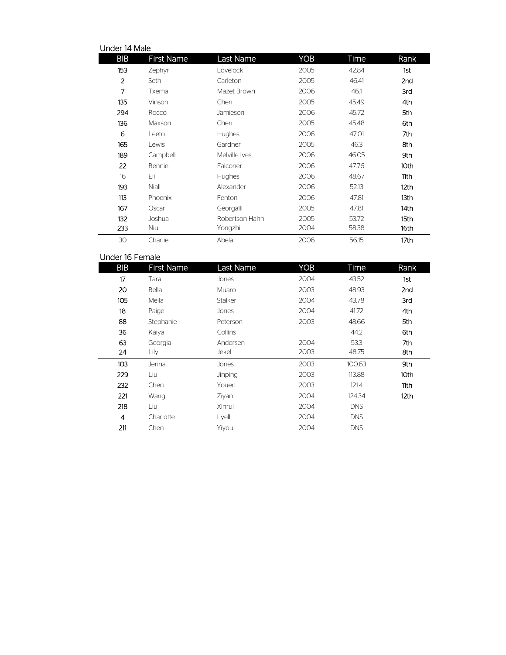| Under 14 Male  |                   |                  |            |       |                  |  |  |
|----------------|-------------------|------------------|------------|-------|------------------|--|--|
| <b>BIB</b>     | <b>First Name</b> | <b>Last Name</b> | <b>YOB</b> | Time  | Rank             |  |  |
| 153            | Zephyr            | Lovelock         | 2005       | 42.84 | 1st              |  |  |
| $\overline{2}$ | Seth              | Carleton         | 2005       | 46.41 | 2nd              |  |  |
| 7              | Txema             | Mazet Brown      | 2006       | 46.1  | 3rd              |  |  |
| 135            | Vinson            | Chen             | 2005       | 45.49 | 4th              |  |  |
| 294            | Rocco             | Jamieson         | 2006       | 45.72 | 5th              |  |  |
| 136            | Maxson            | Chen             | 2005       | 45.48 | 6th              |  |  |
| 6              | Leeto             | Hughes           | 2006       | 47.01 | 7th              |  |  |
| 165            | Lewis             | Gardner          | 2005       | 46.3  | 8th              |  |  |
| 189            | Campbell          | Melville Ives    | 2006       | 46.05 | 9th              |  |  |
| 22             | Rennie            | Falconer         | 2006       | 47.76 | 10th             |  |  |
| 16             | Fli               | <b>Hughes</b>    | 2006       | 48.67 | 11th             |  |  |
| 193            | Niall             | Alexander        | 2006       | 52.13 | 12 <sub>th</sub> |  |  |
| 113            | Phoenix           | Fenton           | 2006       | 47.81 | 13th             |  |  |
| 167            | Oscar             | Georgalli        | 2005       | 47.81 | 14th             |  |  |
| 132            | Joshua            | Robertson-Hahn   | 2005       | 53.72 | 15th             |  |  |
| 233            | Niu               | Yongzhi          | 2004       | 58.38 | 16th             |  |  |
| 30             | Charlie           | Abela            | 2006       | 56.15 | 17th             |  |  |

#### Under 16 Female

| <b>BIB</b> | <b>First Name</b> | Last Name | <b>YOB</b> | Time       | Rank |
|------------|-------------------|-----------|------------|------------|------|
| 17         | Tara              | Jones     | 2004       | 43.52      | 1st  |
| 20         | Bella             | Muaro     | 2003       | 48.93      | 2nd  |
| 105        | Meila             | Stalker   | 2004       | 43.78      | 3rd  |
| 18         | Paige             | Jones     | 2004       | 41.72      | 4th  |
| 88         | Stephanie         | Peterson  | 2003       | 48.66      | 5th  |
| 36         | Kaiya             | Collins   |            | 44.2       | 6th  |
| 63         | Georgia           | Andersen  | 2004       | 53.3       | 7th  |
| 24         | Lily              | Jekel     | 2003       | 48.75      | 8th  |
| 103        | Jenna             | Jones     | 2003       | 100.63     | 9th  |
| 229        | Liu               | Jinping   | 2003       | 113.88     | 10th |
| 232        | Chen              | Youen     | 2003       | 121.4      | 11th |
| 221        | Wang              | Ziyan     | 2004       | 124.34     | 12th |
| 218        | Liu               | Xinrui    | 2004       | <b>DNS</b> |      |
| 4          | Charlotte         | Lyell     | 2004       | <b>DNS</b> |      |
| 211        | Chen              | Yiyou     | 2004       | <b>DNS</b> |      |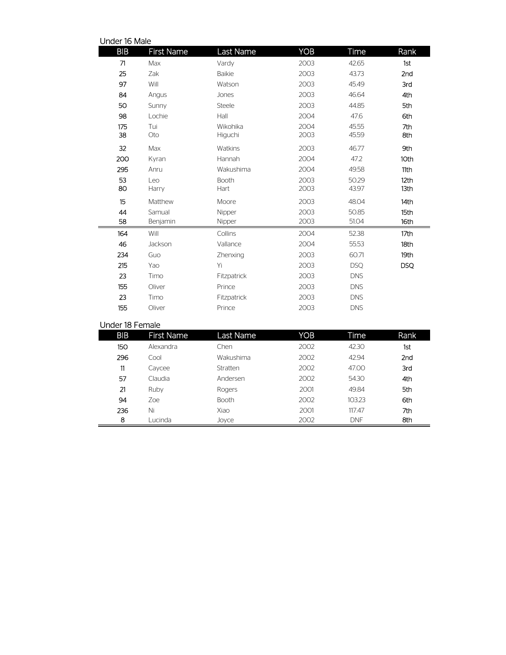| Under 16 Male      |                     |              |                |              |
|--------------------|---------------------|--------------|----------------|--------------|
| <b>First Name</b>  | Last Name           | <b>YOB</b>   | Time           | Rank         |
| Max                | Vardy               | 2003         | 42.65          | 1st          |
| Zak                | <b>Baikie</b>       | 2003         | 43.73          | 2nd          |
| Will               | Watson              | 2003         | 45.49          | 3rd          |
| Angus              | Jones               | 2003         | 46.64          | 4th          |
| Sunny              | <b>Steele</b>       | 2003         | 44.85          | 5th          |
| Lochie             | Hall                | 2004         | 47.6           | 6th          |
| Tui<br>Oto         | Wikohika<br>Higuchi | 2004<br>2003 | 45.55<br>45.59 | 7th<br>8th   |
| Max                | Watkins             | 2003         | 46.77          | 9th          |
| Kyran              | Hannah              | 2004         | 47.2           | 10th         |
| Anru               | Wakushima           | 2004         | 49.58          | 11th         |
| Leo<br>Harry       | Booth<br>Hart       | 2003<br>2003 | 50.29<br>43.97 | 12th<br>13th |
| Matthew            | Moore               | 2003         | 48.04          | 14th         |
| Samual<br>Benjamin | Nipper<br>Nipper    | 2003<br>2003 | 50.85<br>51.04 | 15th<br>16th |
| Will               | Collins             | 2004         | 52.38          | 17th         |
| Jackson            | Vallance            | 2004         | 55.53          | 18th         |
| Guo                | Zhenxing            | 2003         | 60.71          | 19th         |
| Yao                | Yi                  | 2003         | <b>DSQ</b>     | <b>DSQ</b>   |
| Timo               | Fitzpatrick         | 2003         | <b>DNS</b>     |              |
| Oliver             | Prince              | 2003         | <b>DNS</b>     |              |
| Timo               | Fitzpatrick         | 2003         | <b>DNS</b>     |              |
| Oliver             | Prince              | 2003         | <b>DNS</b>     |              |
|                    |                     |              |                |              |

### Under 18 Female

| <b>BIB</b> | <b>First Name</b> | Last Name    | YOB  | Time       | Rank            |
|------------|-------------------|--------------|------|------------|-----------------|
| 150        | Alexandra         | Chen         | 2002 | 42.30      | 1st             |
| 296        | Cool              | Wakushima    | 2002 | 42.94      | 2 <sub>nd</sub> |
| 11         | Caycee            | Stratten     | 2002 | 47.00      | 3rd             |
| 57         | Claudia           | Andersen     | 2002 | 54.30      | 4th             |
| 21         | Ruby              | Rogers       | 2001 | 49.84      | 5th             |
| 94         | Zoe.              | <b>Booth</b> | 2002 | 103.23     | 6th             |
| 236        | Ni                | Xiao         | 2001 | 117.47     | 7th             |
| 8          | Lucinda           | Joyce        | 2002 | <b>DNF</b> | 8th             |